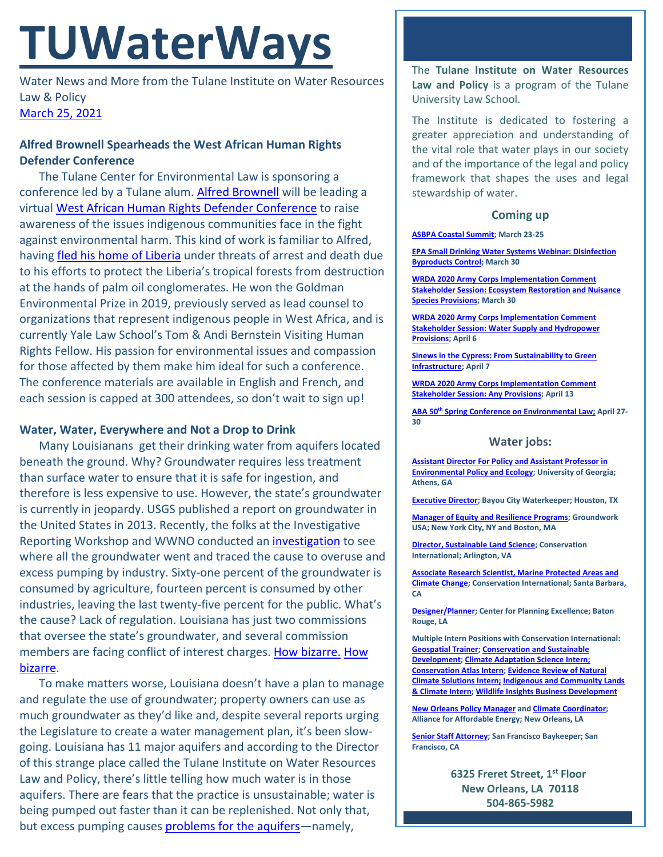# **TUWaterWays**

Water News and More from the Tulane Institute on Water Resources Law & Policy [March 25, 2021](https://thisdayinwaterhistory.wordpress.com/)

# **Alfred Brownell Spearheads the West African Human Rights Defender Conference**

The Tulane Center for Environmental Law is sponsoring a conference led by a Tulane alum. [Alfred Brownell](https://law.tulane.edu/news/tulane-law-alum%E2%80%99s-work-focuses-protecting-environment-human-rights-defenders-around-world%C2%A0) will be leading a virtual [West African Human Rights Defender Conference](https://law.yale.edu/schell/events/west-african-human-rights-defender-conference) to raise awareness of the issues indigenous communities face in the fight against environmental harm. This kind of work is familiar to Alfred, having [fled his home of Liberia](https://e360.yale.edu/features/to-stop-destruction-of-liberias-rainforest-he-put-his-life-on-the-line-alfred-brownell) under threats of arrest and death due to his efforts to protect the Liberia's tropical forests from destruction at the hands of palm oil conglomerates. He won the Goldman Environmental Prize in 2019, previously served as lead counsel to organizations that represent indigenous people in West Africa, and is currently Yale Law School's Tom & Andi Bernstein Visiting Human Rights Fellow. His passion for environmental issues and compassion for those affected by them make him ideal for such a conference. The conference materials are available in English and French, and each session is capped at 300 attendees, so don't wait to sign up!

## **Water, Water, Everywhere and Not a Drop to Drink**

Many Louisianans get their drinking water from aquifers located beneath the ground. Why? Groundwater requires less treatment than surface water to ensure that it is safe for ingestion, and therefore is less expensive to use. However, the state's groundwater is currently in jeopardy. USGS published a report on groundwater in the United States in 2013. Recently, the folks at the Investigative Reporting Workshop and WWNO conducted an *investigation* to see where all the groundwater went and traced the cause to overuse and excess pumping by industry. Sixty-one percent of the groundwater is consumed by agriculture, fourteen percent is consumed by other industries, leaving the last twenty-five percent for the public. What's the cause? Lack of regulation. Louisiana has just two commissions that oversee the state's groundwater, and several commission members are facing conflict of interest charges. [How bizarre.](https://www.theadvocate.com/baton_rouge/news/article_c7db23b0-2823-11eb-bf1a-8f28b94bca86.html) [How](https://www.youtube.com/watch?v=C2cMG33mWVY)  [bizarre.](https://www.youtube.com/watch?v=C2cMG33mWVY)

To make matters worse, Louisiana doesn't have a plan to manage and regulate the use of groundwater; property owners can use as much groundwater as they'd like and, despite several reports urging the Legislature to create a water management plan, it's been slowgoing. Louisiana has 11 major aquifers and according to the Director of this strange place called the Tulane Institute on Water Resources Law and Policy, there's little telling how much water is in those aquifers. There are fears that the practice is unsustainable; water is being pumped out faster than it can be replenished. Not only that, but excess pumping causes [problems for the aquifers—](https://www.theadvocate.com/baton_rouge/news/communities/article_6519621c-51a7-11ea-b335-4723e952ac98.html)namely,

The **Tulane Institute on Water Resources Law and Policy** is a program of the Tulane University Law School.

The Institute is dedicated to fostering a greater appreciation and understanding of the vital role that water plays in our society and of the importance of the legal and policy framework that shapes the uses and legal stewardship of water.

#### **Coming up**

#### **[ASBPA Coastal Summit;](https://asbpa.org/conferences/) March 23-25**

**[EPA Small Drinking Water Systems Webinar: Disinfection](https://www.epa.gov/water-research/small-drinking-water-systems-webinar-series)  [Byproducts](https://www.epa.gov/water-research/small-drinking-water-systems-webinar-series) Control; March 30**

**[WRDA 2020 Army Corps Implementation Comment](https://www.federalregister.gov/documents/2021/03/08/2021-04659/water-resources-development-act-of-2020-comment-period-and-stakeholder-sessions)  [Stakeholder Session: Ecosystem Restoration and Nuisance](https://www.federalregister.gov/documents/2021/03/08/2021-04659/water-resources-development-act-of-2020-comment-period-and-stakeholder-sessions)  [Species Provisions;](https://www.federalregister.gov/documents/2021/03/08/2021-04659/water-resources-development-act-of-2020-comment-period-and-stakeholder-sessions) March 30**

**[WRDA 2020 Army Corps Implementation Comment](https://www.federalregister.gov/documents/2021/03/08/2021-04659/water-resources-development-act-of-2020-comment-period-and-stakeholder-sessions)  Stakeholder Session: [Water Supply and Hydropower](https://www.federalregister.gov/documents/2021/03/08/2021-04659/water-resources-development-act-of-2020-comment-period-and-stakeholder-sessions)  [Provisions;](https://www.federalregister.gov/documents/2021/03/08/2021-04659/water-resources-development-act-of-2020-comment-period-and-stakeholder-sessions) April 6**

**[Sinews in the Cypress: From Sustainability to Green](https://www.eventbrite.com/e/sinews-in-the-cypress-from-sustainability-to-green-infrastructure-tickets-145536243823)  [Infrastructure;](https://www.eventbrite.com/e/sinews-in-the-cypress-from-sustainability-to-green-infrastructure-tickets-145536243823) April 7**

**[WRDA 2020 Army Corps Implementation Comment](https://www.federalregister.gov/documents/2021/03/08/2021-04659/water-resources-development-act-of-2020-comment-period-and-stakeholder-sessions)  [Stakeholder Session: Any Provisions;](https://www.federalregister.gov/documents/2021/03/08/2021-04659/water-resources-development-act-of-2020-comment-period-and-stakeholder-sessions) April 13**

**ABA 50th [Spring Conference on Environmental Law;](https://www.americanbar.org/groups/environment_energy_resources/events_cle/50th-spring-conference/) April 27- 30**

#### **Water jobs:**

**[Assistant Director For Policy and Assistant Professor in](https://www.ecology.uga.edu/assistant-professor-in-environmental-policy-and-ecology/)  [Environmental Policy and Ecology;](https://www.ecology.uga.edu/assistant-professor-in-environmental-policy-and-ecology/) University of Georgia; Athens, GA**

**[Executive Director;](https://bayoucitywaterkeeper.org/wp-content/uploads/2021/03/FINAL-BCWK-Executive-Director-Job-Description.pdf) Bayou City Waterkeeper; Houston, TX**

**[Manager of Equity and Resilience Programs;](https://groundworkusa.org/careers/) Groundwork USA; New York City, NY and Boston, MA**

**[Director, Sustainable Land Science;](https://phh.tbe.taleo.net/phh04/ats/careers/v2/viewRequisition?org=CONSERVATION&cws=39&rid=1439) Conservation International; Arlington, VA**

**[Associate Research Scientist, Marine Protected Areas and](https://phh.tbe.taleo.net/phh04/ats/careers/v2/viewRequisition?org=CONSERVATION&cws=39&rid=1440)  [Climate Change;](https://phh.tbe.taleo.net/phh04/ats/careers/v2/viewRequisition?org=CONSERVATION&cws=39&rid=1440) Conservation International; Santa Barbara, CA** 

**[Designer/Planner;](https://www.cpex.org/jobs) Center for Planning Excellence; Baton Rouge, LA**

**Multiple Intern Positions with Conservation International: [Geospatial Trainer;](https://phh.tbe.taleo.net/phh04/ats/careers/v2/viewRequisition?org=CONSERVATION&cws=39&rid=1448) [Conservation and Sustainable](https://phh.tbe.taleo.net/phh04/ats/careers/v2/viewRequisition?org=CONSERVATION&cws=39&rid=1451)  [Development;](https://phh.tbe.taleo.net/phh04/ats/careers/v2/viewRequisition?org=CONSERVATION&cws=39&rid=1451) [Climate Adaptation Science Intern;](https://phh.tbe.taleo.net/phh04/ats/careers/v2/viewRequisition?org=CONSERVATION&cws=39&rid=1455) [Conservation Atlas Intern;](https://phh.tbe.taleo.net/phh04/ats/careers/v2/viewRequisition?org=CONSERVATION&cws=39&rid=1461) [Evidence Review of Natural](https://phh.tbe.taleo.net/phh04/ats/careers/v2/viewRequisition?org=CONSERVATION&cws=39&rid=1464)  [Climate Solutions Intern;](https://phh.tbe.taleo.net/phh04/ats/careers/v2/viewRequisition?org=CONSERVATION&cws=39&rid=1464) [Indigenous and Community Lands](https://phh.tbe.taleo.net/phh04/ats/careers/v2/viewRequisition?org=CONSERVATION&cws=39&rid=1452)  [& Climate Intern;](https://phh.tbe.taleo.net/phh04/ats/careers/v2/viewRequisition?org=CONSERVATION&cws=39&rid=1452) [Wildlife Insights Business Development](https://phh.tbe.taleo.net/phh04/ats/careers/v2/viewRequisition?org=CONSERVATION&cws=39&rid=1457)**

**[New Orleans Policy Manager](https://www.all4energy.org/the-watchdog/were-hiring-aae-is-looking-for-a-new-orleans-policy-manager?utm_source=Alliance+for+Affordable+Energy&utm_campaign=cc48d94ee1-EMAIL_CAMPAIGN_2020_12_04_06_12_COPY_01&utm_medium=email&utm_term=0_96577798d7-cc48d94ee1-89434567) an[d Climate Coordinator;](https://www.all4energy.org/the-watchdog/were-hiring-aae-is-looking-for-a-climate-coordinator?utm_source=Alliance+for+Affordable+Energy&utm_campaign=cc48d94ee1-EMAIL_CAMPAIGN_2020_12_04_06_12_COPY_01&utm_medium=email&utm_term=0_96577798d7-cc48d94ee1-89434567) Alliance for Affordable Energy; New Orleans, LA**

**[Senior Staff Attorney;](https://baykeeper.org/about-baykeeper/jobs-and-internships#seniorattorney) San Francisco Baykeeper; San Francisco, CA**

> **6325 Freret Street, 1st Floor New Orleans, LA 70118 504-865-5982**

**tulanewater org**